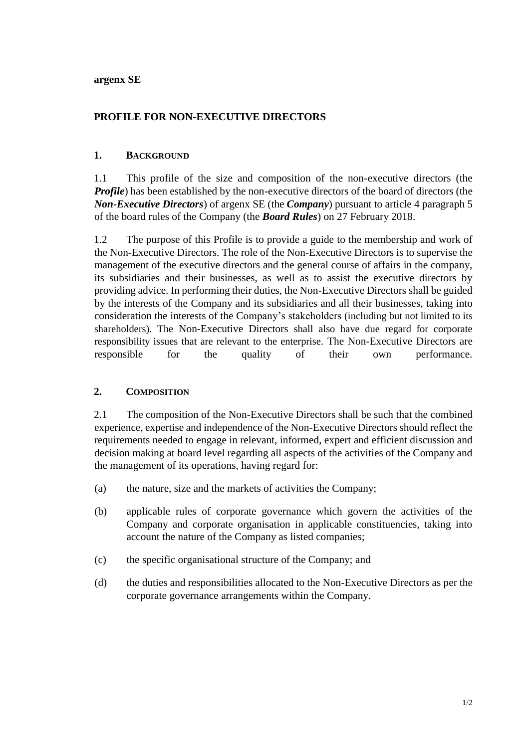**argenx SE**

# **PROFILE FOR NON-EXECUTIVE DIRECTORS**

### **1. BACKGROUND**

1.1 This profile of the size and composition of the non-executive directors (the *Profile*) has been established by the non-executive directors of the board of directors (the *Non-Executive Directors*) of argenx SE (the *Company*) pursuant to article 4 paragraph 5 of the board rules of the Company (the *Board Rules*) on 27 February 2018.

1.2 The purpose of this Profile is to provide a guide to the membership and work of the Non-Executive Directors. The role of the Non-Executive Directors is to supervise the management of the executive directors and the general course of affairs in the company, its subsidiaries and their businesses, as well as to assist the executive directors by providing advice. In performing their duties, the Non-Executive Directors shall be guided by the interests of the Company and its subsidiaries and all their businesses, taking into consideration the interests of the Company's stakeholders (including but not limited to its shareholders). The Non-Executive Directors shall also have due regard for corporate responsibility issues that are relevant to the enterprise. The Non-Executive Directors are responsible for the quality of their own performance.

## **2. COMPOSITION**

2.1 The composition of the Non-Executive Directors shall be such that the combined experience, expertise and independence of the Non-Executive Directors should reflect the requirements needed to engage in relevant, informed, expert and efficient discussion and decision making at board level regarding all aspects of the activities of the Company and the management of its operations, having regard for:

- (a) the nature, size and the markets of activities the Company;
- (b) applicable rules of corporate governance which govern the activities of the Company and corporate organisation in applicable constituencies, taking into account the nature of the Company as listed companies;
- (c) the specific organisational structure of the Company; and
- (d) the duties and responsibilities allocated to the Non-Executive Directors as per the corporate governance arrangements within the Company.